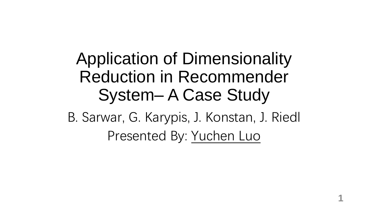### Application of Dimensionality Reduction in Recommender System– A Case Study

B. Sarwar, G. Karypis, J. Konstan, J. Riedl Presented By: Yuchen Luo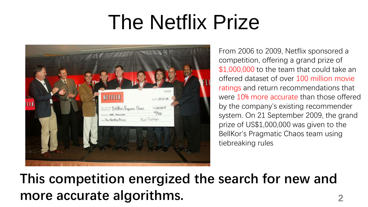## The Netflix Prize



From 2006 to 2009, Netflix sponsored a competition, offering a grand prize of \$1,000,000 to the team that could take an offered dataset of over 100 million movie ratings and return recommendations that were 10% more accurate than those offered by the company's existing recommender system. On 21 September 2009, the grand prize of US\$1,000,000 was given to the BellKor's Pragmatic Chaos team using tiebreaking rules

### **This competition energized the search for new and more accurate algorithms. 2**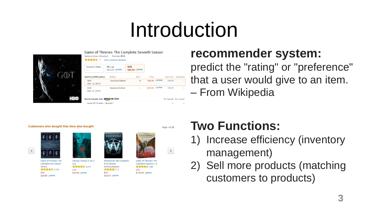### Introduction



WESTWORLD

#### **recommender system:**

predict the "rating" or "preference" that a user would give to an item. – From Wikipedia

#### **Customers who bought this item also bought**



 $\langle$ 

**Game of Thrones: The** Complete 6th Season Various **食食食食** 3,162 **DVD** \$29.99 vprime



 $(iis)$ 

**DVD** 

Vikings: Season 4 Vol 2 **Westworld: The Complete First Season 食食食食** 2,212 **Anthony Hopkins** 食食食食☆5 \$29.99 **√prime DVD** \$30.87 **v**prime





**Game of Thrones: The Complete Seasons 1-6 食食食食** 288 **DVD** \$146.93 √prime

### **Two Functions:**

- 1) Increase efficiency (inventory management)
- 2) Sell more products (matching customers to products)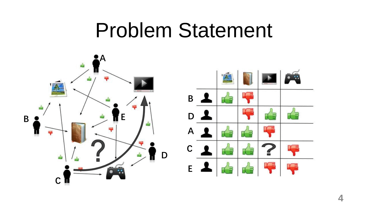### Problem Statement

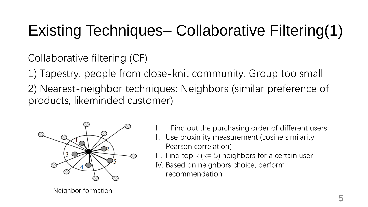### Existing Techniques– Collaborative Filtering(1)

Collaborative filtering (CF)

1) Tapestry, people from close-knit community, Group too small

2) Nearest-neighbor techniques: Neighbors (similar preference of products, likeminded customer)



- Find out the purchasing order of different users
- II. Use proximity measurement (cosine similarity, Pearson correlation)
- III. Find top  $k$  ( $k=5$ ) neighbors for a certain user
- IV. Based on neighbors choice, perform recommendation

Neighbor formation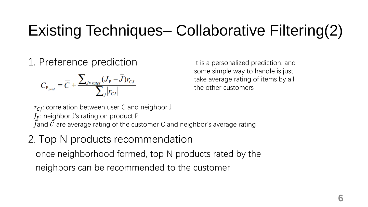### Existing Techniques– Collaborative Filtering(2)

1. Preference prediction

$$
C_{P_{pred}} = \overline{C} + \frac{\sum_{J \in \text{rates}} (J_{P} - \overline{J}) r_{CJ}}{\sum_{J} |r_{CJ}|}
$$

It is a personalized prediction, and some simple way to handle is just take average rating of items by all the other customers

 $r_{CI}$ : correlation between user C and neighbor J  $J_P$ : neighbor J's rating on product P Jand  $\bar{C}$  are average rating of the customer C and neighbor's average rating

#### 2. Top N products recommendation

once neighborhood formed, top N products rated by the neighbors can be recommended to the customer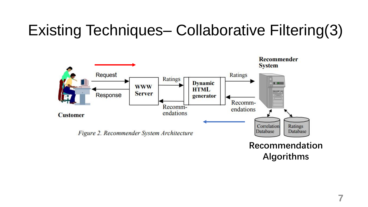### Existing Techniques– Collaborative Filtering(3)



**7**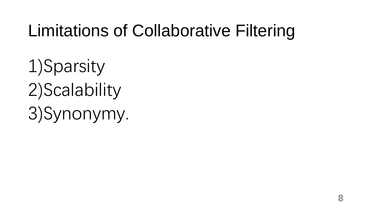### Limitations of Collaborative Filtering

1)Sparsity 2)Scalability 3)Synonymy.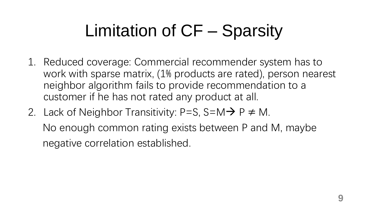### Limitation of CF – Sparsity

- 1. Reduced coverage: Commercial recommender system has to work with sparse matrix, (1% products are rated), person nearest neighbor algorithm fails to provide recommendation to a customer if he has not rated any product at all.
- 2. Lack of Neighbor Transitivity: P=S, S=M $\rightarrow$  P  $\neq$  M. No enough common rating exists between P and M, maybe negative correlation established.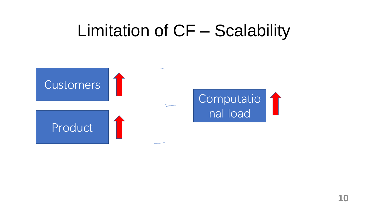### Limitation of CF – Scalability

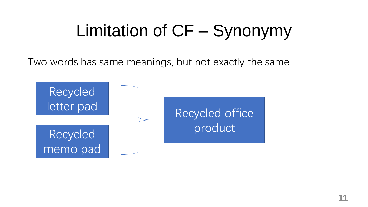### Limitation of CF – Synonymy

Two words has same meanings, but not exactly the same

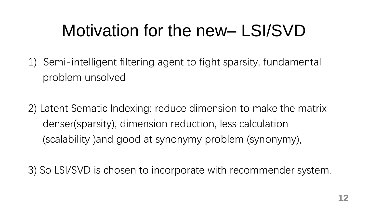### Motivation for the new– LSI/SVD

1) Semi-intelligent filtering agent to fight sparsity, fundamental problem unsolved

2) Latent Sematic Indexing: reduce dimension to make the matrix denser(sparsity), dimension reduction, less calculation (scalability )and good at synonymy problem (synonymy),

3) So LSI/SVD is chosen to incorporate with recommender system.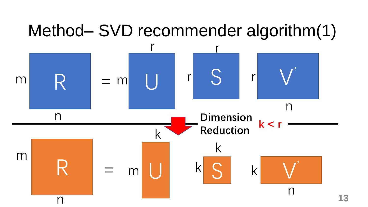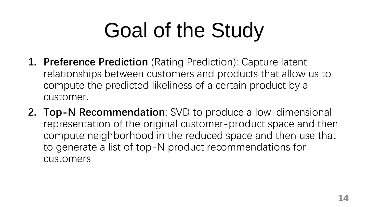## Goal of the Study

- **1. Preference Prediction** (Rating Prediction): Capture latent relationships between customers and products that allow us to compute the predicted likeliness of a certain product by a customer.
- **2. Top-N Recommendation**: SVD to produce a low-dimensional representation of the original customer-product space and then compute neighborhood in the reduced space and then use that to generate a list of top-N product recommendations for customers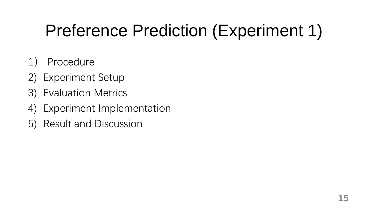### Preference Prediction (Experiment 1)

- 1) Procedure
- 2) Experiment Setup
- 3) Evaluation Metrics
- 4) Experiment Implementation
- 5) Result and Discussion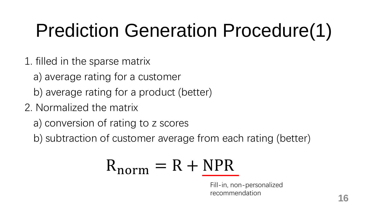### Prediction Generation Procedure(1)

- 1. filled in the sparse matrix
	- a) average rating for a customer
	- b) average rating for a product (better)
- 2. Normalized the matrix
	- a) conversion of rating to z scores
	- b) subtraction of customer average from each rating (better)

$$
R_{norm} = R + \underline{NPR}
$$

Fill-in, non-personalized recommendation **16**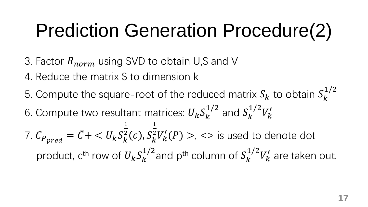### Prediction Generation Procedure(2)

- 3. Factor  $R_{norm}$  using SVD to obtain U,S and V
- 4. Reduce the matrix S to dimension k
- 5. Compute the square-root of the reduced matrix  $S_k$  to obtain  $S_k^{\perp}$ 1/2 6. Compute two resultant matrices:  $U_k S_k^{\perp}$ 1/2 and  $S^\mathfrak{1}_k$ 1/2  $V_k'$ 7.  $C_{P_{pred}} = \bar{C} + \langle U_k S_k^2 \rangle$ 1  $k^2(c)$ ,  $S_k^2$ 1  $\frac{1}{2}V'_k(P) > 0$ ,  $\lt$  is used to denote dot product,  $c^{\text{th}}$  row of  $U_k S_k^{\perp}$ 1/2 and  $p^{\text{th}}$  column of  $S^\mathbf{1}_k$ 1/2  $V'_k$  are taken out.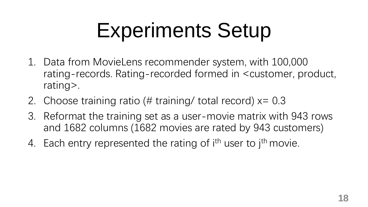## Experiments Setup

- 1. Data from MovieLens recommender system, with 100,000 rating-records. Rating-recorded formed in <customer, product, rating>.
- 2. Choose training ratio (# training/ total record)  $x=0.3$
- 3. Reformat the training set as a user-movie matrix with 943 rows and 1682 columns (1682 movies are rated by 943 customers)
- 4. Each entry represented the rating of i<sup>th</sup> user to j<sup>th</sup> movie.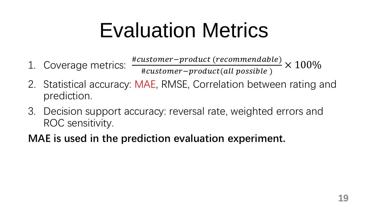## Evaluation Metrics

- 1. Coverage metrics:  $\frac{\# customer-product(recommentable)}{\# questioner\_product(allowoc»)}$ #customer-product(all possible)  $\times$  100%
- 2. Statistical accuracy: MAE, RMSE, Correlation between rating and prediction.
- 3. Decision support accuracy: reversal rate, weighted errors and ROC sensitivity.

#### **MAE is used in the prediction evaluation experiment.**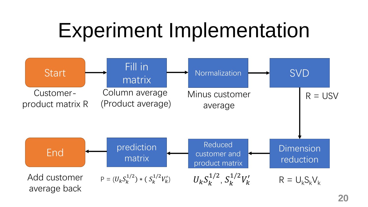### Experiment Implementation

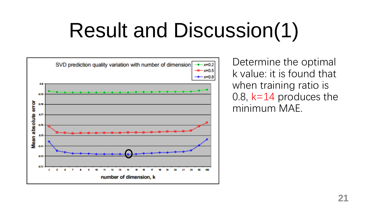## Result and Discussion(1)



Determine the optimal k value: it is found that when training ratio is 0.8, k=14 produces the minimum MAE.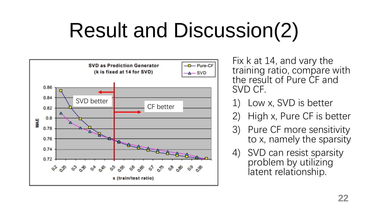## Result and Discussion(2)



Fix k at 14, and vary the training ratio, compare with the result of Pure CF and SVD CF.

- Low x, SVD is better
- 2) High x, Pure CF is better
- 3) Pure CF more sensitivity to x, namely the sparsity
- 4) SVD can resist sparsity problem by utilizing latent relationship.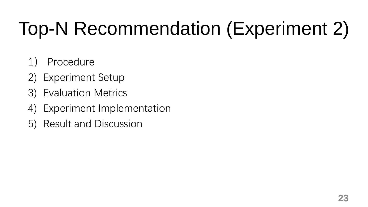## Top-N Recommendation (Experiment 2)

- 1) Procedure
- 2) Experiment Setup
- 3) Evaluation Metrics
- 4) Experiment Implementation
- 5) Result and Discussion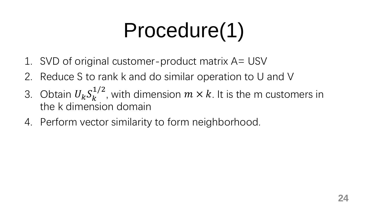## Procedure(1)

- 1. SVD of original customer-product matrix A= USV
- 2. Reduce S to rank k and do similar operation to U and V
- 3. Obtain  $U_k S_k^{\perp}$ 1/2 , with dimension  $m \times k$ . It is the m customers in the k dimension domain
- 4. Perform vector similarity to form neighborhood.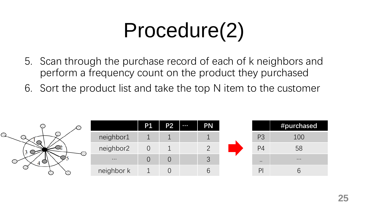## Procedure(2)

- 5. Scan through the purchase record of each of k neighbors and perform a frequency count on the product they purchased
- 6. Sort the product list and take the top N item to the customer

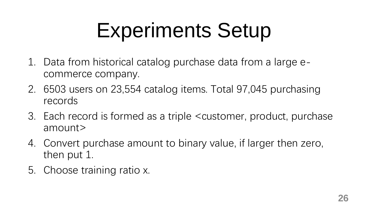## Experiments Setup

- 1. Data from historical catalog purchase data from a large ecommerce company.
- 2. 6503 users on 23,554 catalog items. Total 97,045 purchasing records
- 3. Each record is formed as a triple <customer, product, purchase amount>
- 4. Convert purchase amount to binary value, if larger then zero, then put 1.
- 5. Choose training ratio x.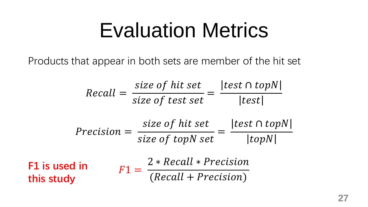### Evaluation Metrics

Products that appear in both sets are member of the hit set

$$
Recall = \frac{size\ of\ hit\ set}{size\ of\ test\ set} = \frac{|test \cap topN|}{|test|}
$$
\n
$$
Precision = \frac{size\ of\ hit\ set}{size\ of\ top\ Net} = \frac{|test \cap topN|}{|topN|}
$$
\n**F1 is used in**

\n
$$
F1 = \frac{2 * Recall * Precision}{(Recall + Precision)}
$$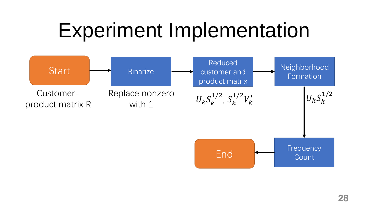### Experiment Implementation

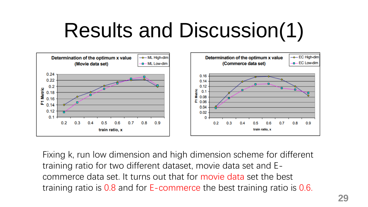## Results and Discussion(1)



Fixing k, run low dimension and high dimension scheme for different training ratio for two different dataset, movie data set and Ecommerce data set. It turns out that for movie data set the best training ratio is 0.8 and for E-commerce the best training ratio is 0.6.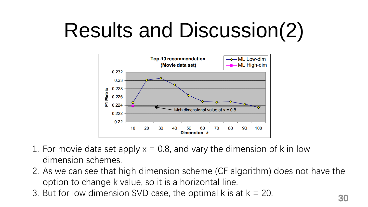## Results and Discussion(2)



- 1. For movie data set apply  $x = 0.8$ , and vary the dimension of k in low dimension schemes.
- 2. As we can see that high dimension scheme (CF algorithm) does not have the option to change k value, so it is a horizontal line.
- 3. But for low dimension SVD case, the optimal k is at k = 20. **<sup>30</sup>**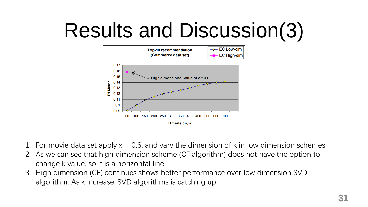## Results and Discussion(3)



- 1. For movie data set apply  $x = 0.6$ , and vary the dimension of k in low dimension schemes.
- 2. As we can see that high dimension scheme (CF algorithm) does not have the option to change k value, so it is a horizontal line.
- 3. High dimension (CF) continues shows better performance over low dimension SVD algorithm. As k increase, SVD algorithms is catching up.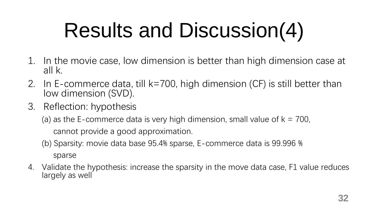## Results and Discussion(4)

- 1. In the movie case, low dimension is better than high dimension case at all k.
- 2. In E-commerce data, till k=700, high dimension (CF) is still better than low dimension (SVD).
- 3. Reflection: hypothesis
	- (a) as the E-commerce data is very high dimension, small value of  $k = 700$ , cannot provide a good approximation.
	- (b) Sparsity: movie data base 95.4% sparse, E-commerce data is 99.996 %

sparse

4. Validate the hypothesis: increase the sparsity in the move data case, F1 value reduces largely as well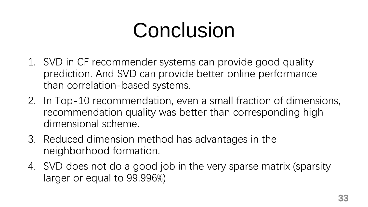## Conclusion

- 1. SVD in CF recommender systems can provide good quality prediction. And SVD can provide better online performance than correlation-based systems.
- 2. In Top-10 recommendation, even a small fraction of dimensions, recommendation quality was better than corresponding high dimensional scheme.
- 3. Reduced dimension method has advantages in the neighborhood formation.
- 4. SVD does not do a good job in the very sparse matrix (sparsity larger or equal to 99.996%)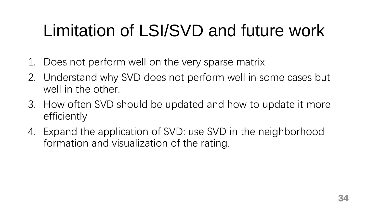### Limitation of LSI/SVD and future work

- 1. Does not perform well on the very sparse matrix
- 2. Understand why SVD does not perform well in some cases but well in the other.
- 3. How often SVD should be updated and how to update it more efficiently
- 4. Expand the application of SVD: use SVD in the neighborhood formation and visualization of the rating.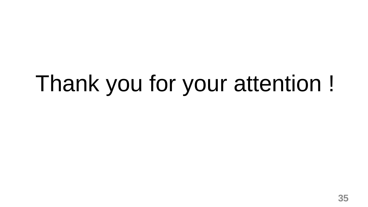# Thank you for your attention !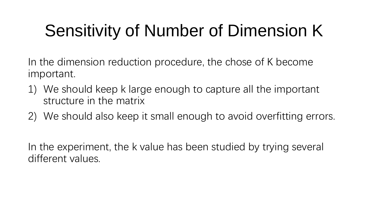### Sensitivity of Number of Dimension K

In the dimension reduction procedure, the chose of K become important.

- 1) We should keep k large enough to capture all the important structure in the matrix
- 2) We should also keep it small enough to avoid overfitting errors.

In the experiment, the k value has been studied by trying several different values.